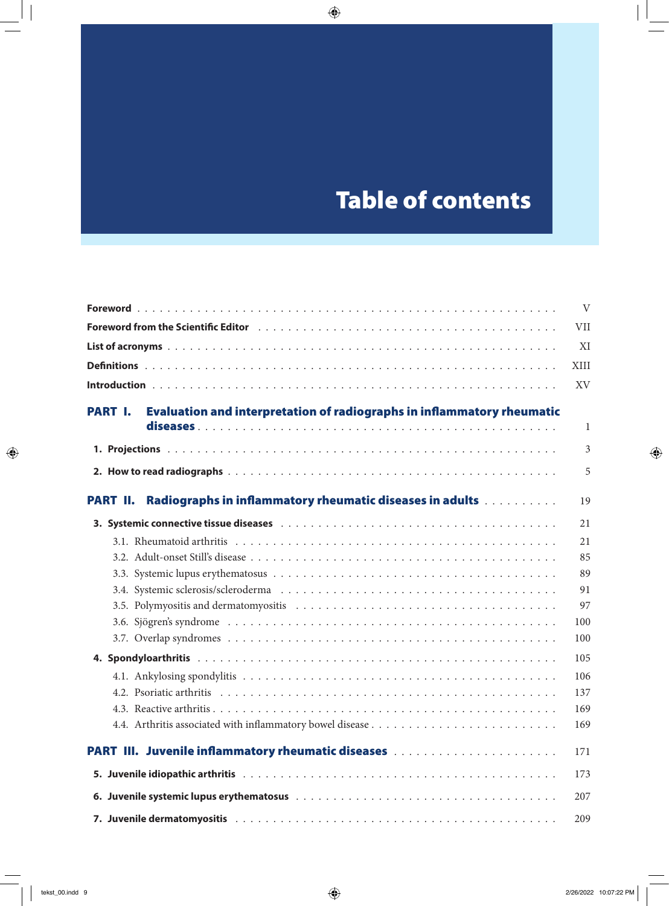## Table of contents

Table of contents **IX**

|                                                                                                 | V           |
|-------------------------------------------------------------------------------------------------|-------------|
|                                                                                                 | VII         |
|                                                                                                 | XI          |
|                                                                                                 | <b>XIII</b> |
|                                                                                                 | XV          |
| <b>Evaluation and interpretation of radiographs in inflammatory rheumatic</b><br><b>PART I.</b> |             |
|                                                                                                 | 1           |
|                                                                                                 | 3           |
|                                                                                                 | 5           |
| Radiographs in inflammatory rheumatic diseases in adults<br><b>PART II.</b>                     | 19          |
|                                                                                                 | 21          |
|                                                                                                 | 21          |
|                                                                                                 | 85          |
|                                                                                                 | 89          |
|                                                                                                 | 91          |
|                                                                                                 | 97          |
|                                                                                                 | 100         |
|                                                                                                 | 100         |
|                                                                                                 | 105         |
|                                                                                                 | 106         |
|                                                                                                 | 137         |
|                                                                                                 | 169         |
|                                                                                                 | 169         |
|                                                                                                 | 171         |
|                                                                                                 | 173         |
|                                                                                                 | 207         |
|                                                                                                 | 209         |